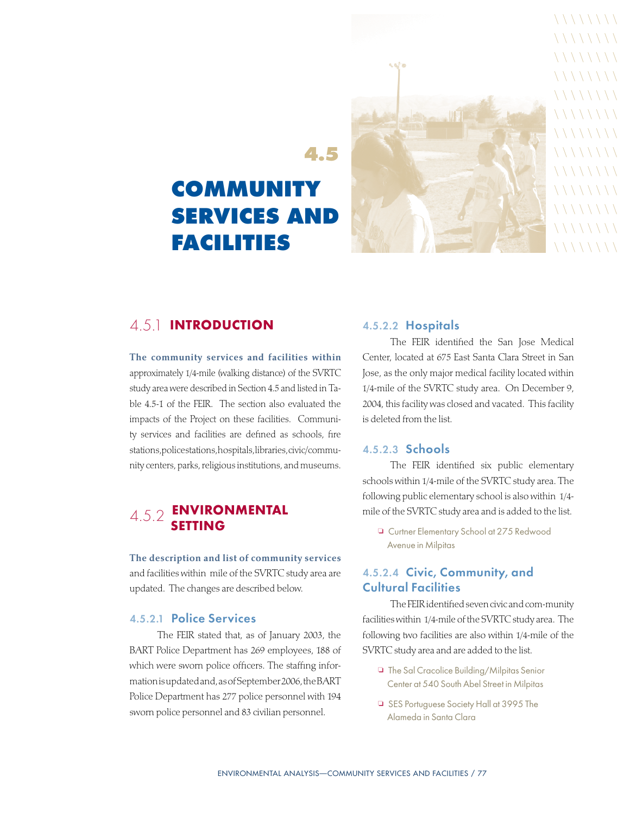

 $\setminus \setminus \setminus \setminus \setminus \setminus$ 

 $\setminus \setminus \setminus \setminus \setminus \setminus \setminus$  $\setminus \setminus \setminus \setminus \setminus \setminus \setminus$  $\setminus \setminus \setminus \setminus \setminus \setminus \setminus$  $\setminus \setminus \setminus \setminus \setminus \setminus \setminus$  $\setminus \setminus \setminus \setminus \setminus \setminus \setminus$  $\setminus \setminus \setminus \setminus \setminus \setminus \setminus$  $\setminus \setminus \setminus \setminus \setminus \setminus \setminus$  $\setminus \setminus \setminus \setminus \setminus \setminus \setminus$  $\setminus \setminus \setminus \setminus \setminus \setminus \setminus$  $\setminus \setminus \setminus \setminus \setminus \setminus \setminus$  $\setminus \setminus \setminus \setminus \setminus \setminus \setminus$  $\setminus \setminus \setminus \setminus \setminus \setminus \setminus$ 

# **4.5 community services and facilities**

# 4.5.1 Introduction

The community services and facilities within approximately 1/4-mile (walking distance) of the SVRTC study area were described in Section 4.5 and listed in Table 4.5-1 of the FEIR. The section also evaluated the impacts of the Project on these facilities. Community services and facilities are defined as schools, fire stations,police stations, hospitals, libraries, civic/community centers, parks, religious institutions, and museums.

## 4.5.2 Environmental **SETTING**

The description and list of community services and facilities within mile of the SVRTC study area are updated. The changes are described below.

#### 4.5.2.1 Police Services

The FEIR stated that, as of January 2003, the BART Police Department has 269 employees, 188 of which were sworn police officers. The staffing information is updated and, as of September 2006, the BART Police Department has 277 police personnel with 194 sworn police personnel and 83 civilian personnel.

#### 4.5.2.2 Hospitals

The FEIR identified the San Jose Medical Center, located at 675 East Santa Clara Street in San Jose, as the only major medical facility located within 1/4-mile of the SVRTC study area. On December 9, 2004, this facility was closed and vacated. This facility is deleted from the list.

#### 4.5.2.3 Schools

The FEIR identified six public elementary schools within 1/4-mile of the SVRTC study area. The following public elementary school is also within 1/4mile of the SVRTC study area and is added to the list.

<sup>o</sup> Curtner Elementary School at 275 Redwood Avenue in Milpitas

#### 4.5.2.4 Civic, Community, and Cultural Facilities

The FEIR identified seven civic and com-munity facilities within 1/4-mile of the SVRTC study area. The following two facilities are also within 1/4-mile of the SVRTC study area and are added to the list.

- □ The Sal Cracolice Building/Milpitas Senior Center at 540 South Abel Street in Milpitas
- □ SES Portuguese Society Hall at 3995 The Alameda in Santa Clara